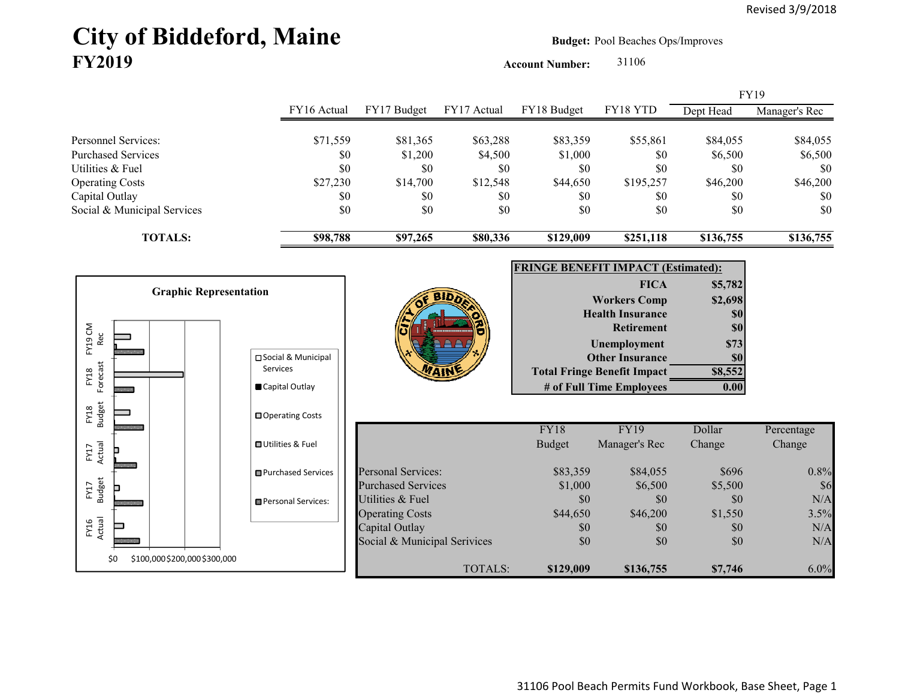# City of Biddeford, Maine **Budget:** Pool Beaches Ops/Improves **FY2019**

**Account Number:** 31106

|                                                  |                                  |                                                |                     |                                           |                                                                |                     | FY19                |
|--------------------------------------------------|----------------------------------|------------------------------------------------|---------------------|-------------------------------------------|----------------------------------------------------------------|---------------------|---------------------|
|                                                  | FY16 Actual                      | FY17 Budget                                    | FY17 Actual         | FY18 Budget                               | FY18 YTD                                                       | Dept Head           | Manager's Rec       |
| Personnel Services:<br><b>Purchased Services</b> | \$71,559<br>\$0                  | \$81,365<br>\$1,200                            | \$63,288<br>\$4,500 | \$83,359<br>\$1,000                       | \$55,861<br>\$0                                                | \$84,055<br>\$6,500 | \$84,055<br>\$6,500 |
| Utilities & Fuel                                 | \$0                              | \$0                                            | \$0                 | \$0                                       | \$0                                                            | \$0                 | \$0                 |
| <b>Operating Costs</b>                           | \$27,230                         | \$14,700                                       | \$12,548            | \$44,650                                  | \$195,257                                                      | \$46,200            | \$46,200            |
| Capital Outlay<br>Social & Municipal Services    | \$0<br>\$0                       | \$0<br>\$0                                     | \$0<br>\$0          | \$0<br>\$0                                | \$0<br>\$0                                                     | \$0<br>\$0          | \$0<br>\$0          |
| <b>TOTALS:</b>                                   | \$98,788                         | \$97,265                                       | \$80,336            | \$129,009                                 | \$251,118                                                      | \$136,755           | \$136,755           |
|                                                  |                                  |                                                |                     | <b>FRINGE BENEFIT IMPACT (Estimated):</b> |                                                                |                     |                     |
|                                                  |                                  |                                                |                     |                                           | <b>FICA</b>                                                    | \$5,782             |                     |
| <b>Graphic Representation</b>                    |                                  |                                                |                     |                                           | <b>Workers Comp</b>                                            | \$2,698             |                     |
|                                                  |                                  |                                                |                     |                                           | <b>Health Insurance</b>                                        | \$0                 |                     |
| FY19 CM                                          |                                  |                                                |                     |                                           | <b>Retirement</b>                                              | \$0                 |                     |
| Rec                                              |                                  |                                                |                     |                                           | Unemployment                                                   | \$73                |                     |
|                                                  | □ Social & Municipal<br>Services |                                                |                     |                                           | <b>Other Insurance</b>                                         | \$0                 |                     |
| Forecast<br>FY18                                 | Capital Outlay                   |                                                |                     |                                           | <b>Total Fringe Benefit Impact</b><br># of Full Time Employees | \$8,552<br>0.00     |                     |
| <b>Budget</b><br>FY18                            | □ Operating Costs                |                                                |                     |                                           |                                                                |                     |                     |
|                                                  |                                  |                                                |                     | <b>FY18</b>                               | <b>FY19</b>                                                    | Dollar              | Percentage          |
| FY17<br>Actual                                   | <b>□ Utilities &amp; Fuel</b>    |                                                |                     | <b>Budget</b>                             | Manager's Rec                                                  | Change              | Change              |
|                                                  | <b>□</b> Purchased Services      | <b>Personal Services:</b>                      |                     | \$83,359                                  | \$84,055                                                       | \$696               | 0.8%                |
| FY17<br>Budget                                   |                                  | <b>Purchased Services</b>                      |                     | \$1,000                                   | \$6,500                                                        | \$5,500             | \$6                 |
|                                                  | Personal Services:               | Utilities & Fuel                               |                     | \$0                                       | \$0                                                            | \$0                 | N/A                 |
|                                                  |                                  | <b>Operating Costs</b>                         |                     | \$44,650                                  | \$46,200                                                       | \$1,550             | 3.5%                |
| FY16<br>Actual                                   |                                  | Capital Outlay<br>Social & Municipal Serivices |                     | \$0<br>\$0                                | \$0<br>\$0                                                     | \$0<br>\$0          | N/A<br>N/A          |
|                                                  |                                  |                                                |                     |                                           |                                                                |                     |                     |
| \$100,000 \$200,000 \$300,000<br>\$0             |                                  |                                                | <b>TOTALS:</b>      | \$129,009                                 | \$136,755                                                      | \$7,746             | 6.0%                |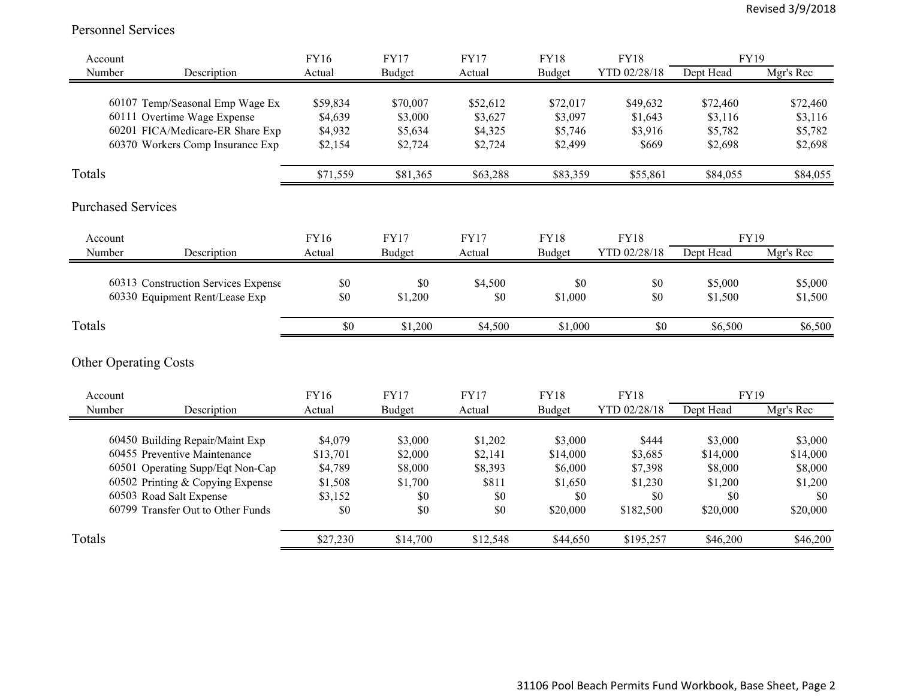#### Personnel Services

| Account                   |                                                                                                                                                                                                         | FY16                                                        | <b>FY17</b>                                            | <b>FY17</b>                                          | <b>FY18</b>                                                  | <b>FY18</b>                                                | FY19                                                         |                                                              |
|---------------------------|---------------------------------------------------------------------------------------------------------------------------------------------------------------------------------------------------------|-------------------------------------------------------------|--------------------------------------------------------|------------------------------------------------------|--------------------------------------------------------------|------------------------------------------------------------|--------------------------------------------------------------|--------------------------------------------------------------|
| Number                    | Description                                                                                                                                                                                             | Actual                                                      | Budget                                                 | Actual                                               | Budget                                                       | YTD 02/28/18                                               | Dept Head                                                    | Mgr's Rec                                                    |
|                           | 60107 Temp/Seasonal Emp Wage Ex<br>60111 Overtime Wage Expense<br>60201 FICA/Medicare-ER Share Exp<br>60370 Workers Comp Insurance Exp                                                                  | \$59,834<br>\$4,639<br>\$4,932<br>\$2,154                   | \$70,007<br>\$3,000<br>\$5,634<br>\$2,724              | \$52,612<br>\$3,627<br>\$4,325<br>\$2,724            | \$72,017<br>\$3,097<br>\$5,746<br>\$2,499                    | \$49,632<br>\$1,643<br>\$3,916<br>\$669                    | \$72,460<br>\$3,116<br>\$5,782<br>\$2,698                    | \$72,460<br>\$3,116<br>\$5,782<br>\$2,698                    |
| Totals                    |                                                                                                                                                                                                         | \$71,559                                                    | \$81,365                                               | \$63,288                                             | \$83,359                                                     | \$55,861                                                   | \$84,055                                                     | \$84,055                                                     |
| <b>Purchased Services</b> |                                                                                                                                                                                                         |                                                             |                                                        |                                                      |                                                              |                                                            |                                                              |                                                              |
| Account                   |                                                                                                                                                                                                         | FY16                                                        | <b>FY17</b>                                            | <b>FY17</b>                                          | <b>FY18</b>                                                  | <b>FY18</b>                                                | FY19                                                         |                                                              |
| Number                    | Description                                                                                                                                                                                             | Actual                                                      | Budget                                                 | Actual                                               | Budget                                                       | YTD 02/28/18                                               | Dept Head                                                    | Mgr's Rec                                                    |
|                           | 60313 Construction Services Expense<br>60330 Equipment Rent/Lease Exp                                                                                                                                   | \$0<br>\$0                                                  | \$0<br>\$1,200                                         | \$4,500<br>\$0                                       | \$0<br>\$1,000                                               | \$0<br>\$0                                                 | \$5,000<br>\$1,500                                           | \$5,000<br>\$1,500                                           |
| Totals                    |                                                                                                                                                                                                         | \$0                                                         | \$1,200                                                | \$4,500                                              | \$1,000                                                      | \$0                                                        | \$6,500                                                      | \$6,500                                                      |
|                           | <b>Other Operating Costs</b>                                                                                                                                                                            |                                                             |                                                        |                                                      |                                                              |                                                            |                                                              |                                                              |
| Account                   |                                                                                                                                                                                                         | FY16                                                        | <b>FY17</b>                                            | <b>FY17</b>                                          | <b>FY18</b>                                                  | <b>FY18</b>                                                | <b>FY19</b>                                                  |                                                              |
| Number                    | Description                                                                                                                                                                                             | Actual                                                      | <b>Budget</b>                                          | Actual                                               | Budget                                                       | YTD 02/28/18                                               | Dept Head                                                    | Mgr's Rec                                                    |
|                           | 60450 Building Repair/Maint Exp<br>60455 Preventive Maintenance<br>60501 Operating Supp/Eqt Non-Cap<br>60502 Printing & Copying Expense<br>60503 Road Salt Expense<br>60799 Transfer Out to Other Funds | \$4,079<br>\$13,701<br>\$4,789<br>\$1,508<br>\$3,152<br>\$0 | \$3,000<br>\$2,000<br>\$8,000<br>\$1,700<br>\$0<br>\$0 | \$1,202<br>\$2,141<br>\$8,393<br>\$811<br>\$0<br>\$0 | \$3,000<br>\$14,000<br>\$6,000<br>\$1,650<br>\$0<br>\$20,000 | \$444<br>\$3,685<br>\$7,398<br>\$1,230<br>\$0<br>\$182,500 | \$3,000<br>\$14,000<br>\$8,000<br>\$1,200<br>\$0<br>\$20,000 | \$3,000<br>\$14,000<br>\$8,000<br>\$1,200<br>\$0<br>\$20,000 |
| Totals                    |                                                                                                                                                                                                         | \$27,230                                                    | \$14,700                                               | \$12,548                                             | \$44,650                                                     | \$195,257                                                  | \$46,200                                                     | \$46,200                                                     |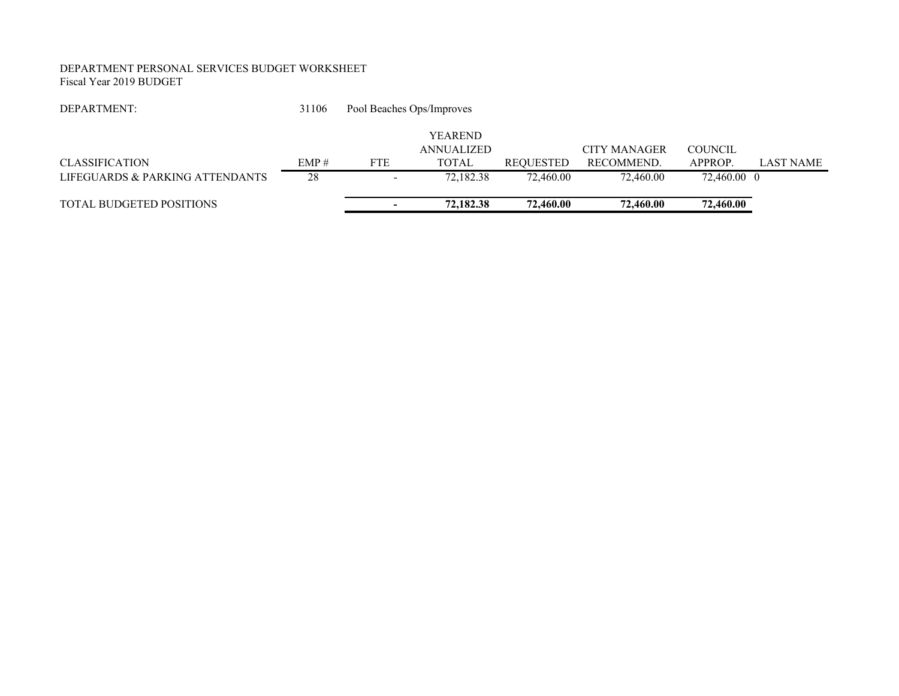#### DEPARTMENT PERSONAL SERVICES BUDGET WORKSHEET Fiscal Year 2019 BUDGET

| DEPARTMENT:                     | 31106 |                          | Pool Beaches Ops/Improves           |                  |                     |                |                  |
|---------------------------------|-------|--------------------------|-------------------------------------|------------------|---------------------|----------------|------------------|
|                                 |       |                          | <b>YEAREND</b><br><b>ANNUALIZED</b> |                  | <b>CITY MANAGER</b> | <b>COUNCIL</b> |                  |
| <b>CLASSIFICATION</b>           | EMP#  | <b>FTE</b>               | <b>TOTAL</b>                        | <b>REOUESTED</b> | RECOMMEND.          | APPROP.        | <b>LAST NAME</b> |
| LIFEGUARDS & PARKING ATTENDANTS | 28    | $\overline{\phantom{a}}$ | 72,182.38                           | 72,460.00        | 72,460.00           | 72,460.00 0    |                  |
| TOTAL BUDGETED POSITIONS        |       |                          | 72,182.38                           | 72,460.00        | 72,460.00           | 72,460.00      |                  |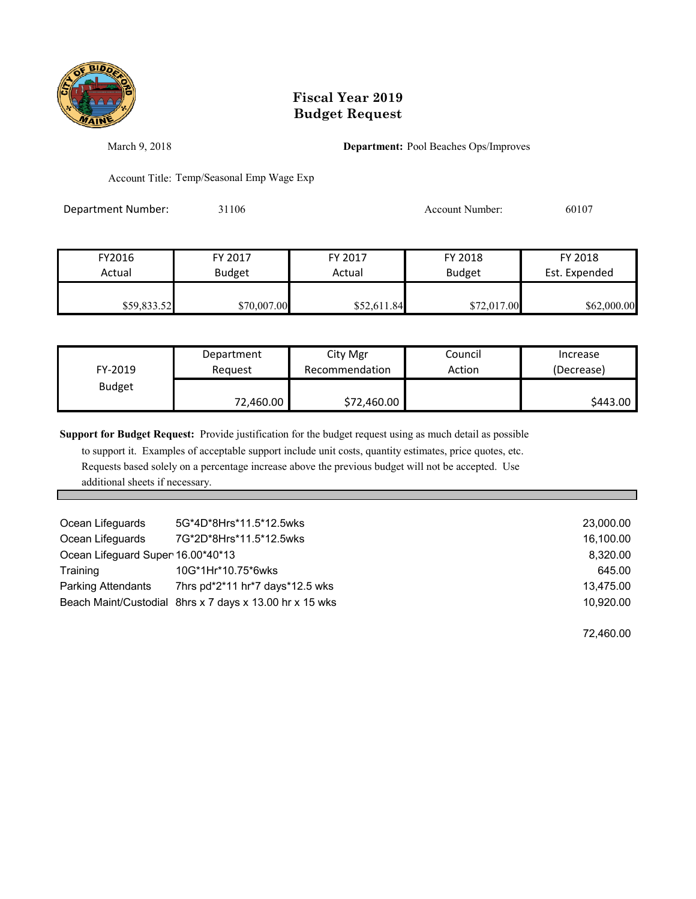

March 9, 2018 **Department:** Pool Beaches Ops/Improves

Account Title: Temp/Seasonal Emp Wage Exp

Department Number: 31106 31106 Account Number: 60107

| FY2016      | FY 2017       | FY 2017     | FY 2018       | FY 2018       |
|-------------|---------------|-------------|---------------|---------------|
| Actual      | <b>Budget</b> | Actual      | <b>Budget</b> | Est. Expended |
| \$59,833.52 | \$70,007.00   | \$52,611.84 | \$72,017.00   | \$62,000.00   |

| FY-2019       | Department | City Mgr       | Council | Increase   |
|---------------|------------|----------------|---------|------------|
|               | Reauest    | Recommendation | Action  | (Decrease) |
| <b>Budget</b> | 72,460.00  | \$72,460.00    |         | \$443.00   |

**Support for Budget Request:** Provide justification for the budget request using as much detail as possible

 to support it. Examples of acceptable support include unit costs, quantity estimates, price quotes, etc. Requests based solely on a percentage increase above the previous budget will not be accepted. Use additional sheets if necessary.

| Ocean Lifeguards                  | 5G*4D*8Hrs*11.5*12.5wks                                 | 23,000.00 |
|-----------------------------------|---------------------------------------------------------|-----------|
| Ocean Lifeguards                  | 7G*2D*8Hrs*11.5*12.5wks                                 | 16,100.00 |
| Ocean Lifeguard Super 16.00*40*13 |                                                         | 8,320.00  |
| Training                          | 10G*1Hr*10.75*6wks                                      | 645.00    |
| <b>Parking Attendants</b>         | 7hrs pd*2*11 hr*7 days*12.5 wks                         | 13,475.00 |
|                                   | Beach Maint/Custodial 8hrs x 7 days x 13.00 hr x 15 wks | 10,920.00 |

72,460.00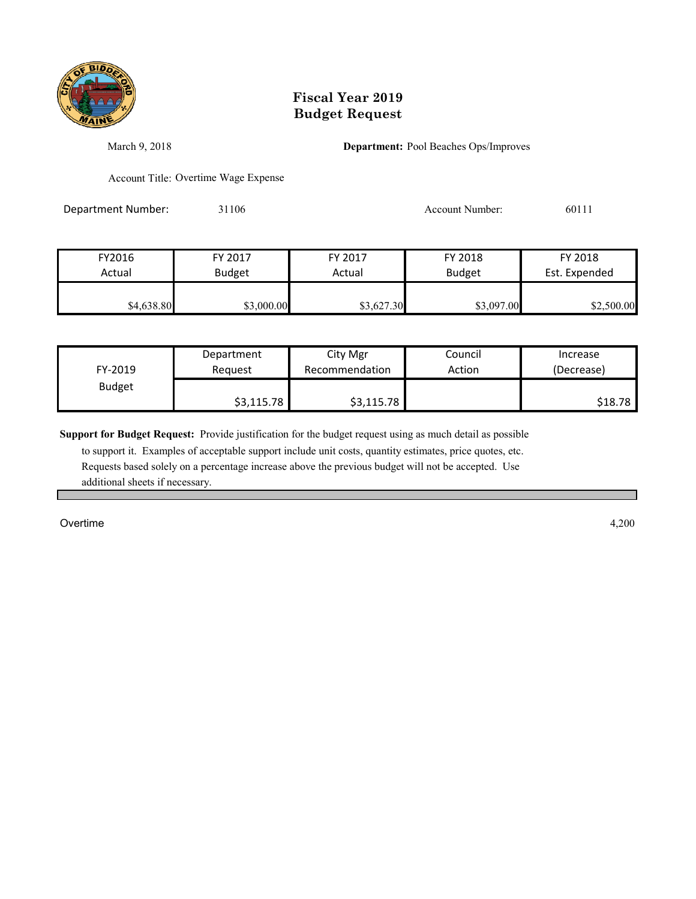

March 9, 2018 **Department:** Pool Beaches Ops/Improves

Account Title: Overtime Wage Expense

Department Number: 31106 31106 Account Number: 60111

| \$4,638.80 | \$3,000.00    | \$3,627.30 | \$3,097.00    | \$2,500.00    |
|------------|---------------|------------|---------------|---------------|
| Actual     | <b>Budget</b> | Actual     | <b>Budget</b> | Est. Expended |
| FY2016     | FY 2017       | FY 2017    | FY 2018       | FY 2018       |

| FY-2019       | Department | City Mgr       | Council | Increase   |
|---------------|------------|----------------|---------|------------|
|               | Reauest    | Recommendation | Action  | (Decrease) |
| <b>Budget</b> | \$3,115.78 | \$3,115.78     |         | \$18.78    |

**Support for Budget Request:** Provide justification for the budget request using as much detail as possible

 to support it. Examples of acceptable support include unit costs, quantity estimates, price quotes, etc. Requests based solely on a percentage increase above the previous budget will not be accepted. Use additional sheets if necessary.

Overtime 4,200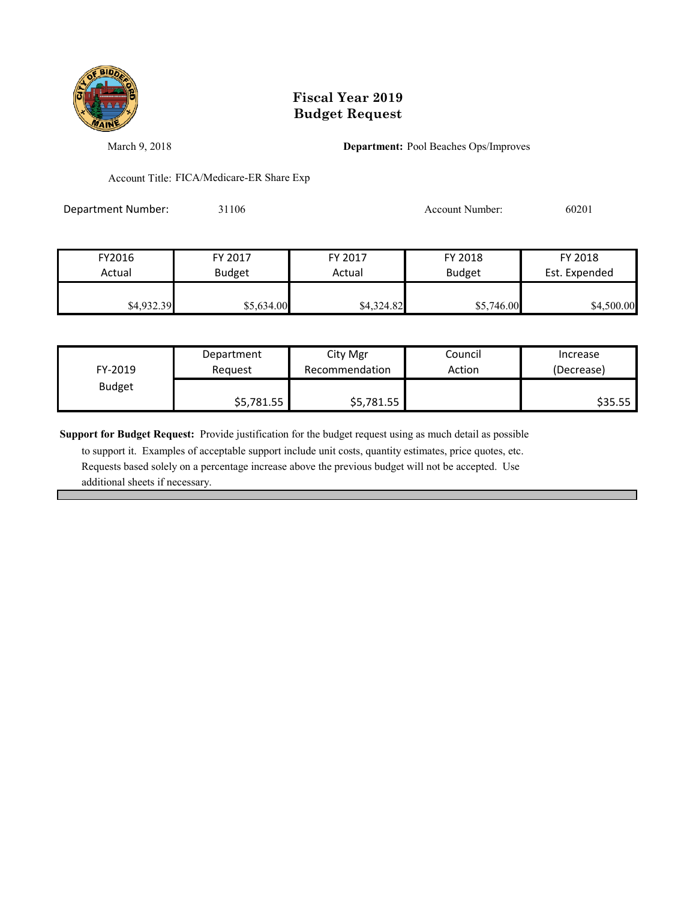

March 9, 2018 **Department:** Pool Beaches Ops/Improves

Account Title: FICA/Medicare-ER Share Exp

Department Number: 31106 31106 Account Number: 60201

| FY2016     | FY 2017       | FY 2017    | FY 2018       | FY 2018       |
|------------|---------------|------------|---------------|---------------|
| Actual     | <b>Budget</b> | Actual     | <b>Budget</b> | Est. Expended |
| \$4,932.39 | \$5,634.00    | \$4,324.82 | \$5,746.00    | \$4,500.00    |

| FY-2019       | Department | City Mgr       | Council | Increase   |
|---------------|------------|----------------|---------|------------|
|               | Reauest    | Recommendation | Action  | (Decrease) |
| <b>Budget</b> | \$5,781.55 | \$5,781.55     |         | \$35.55    |

**Support for Budget Request:** Provide justification for the budget request using as much detail as possible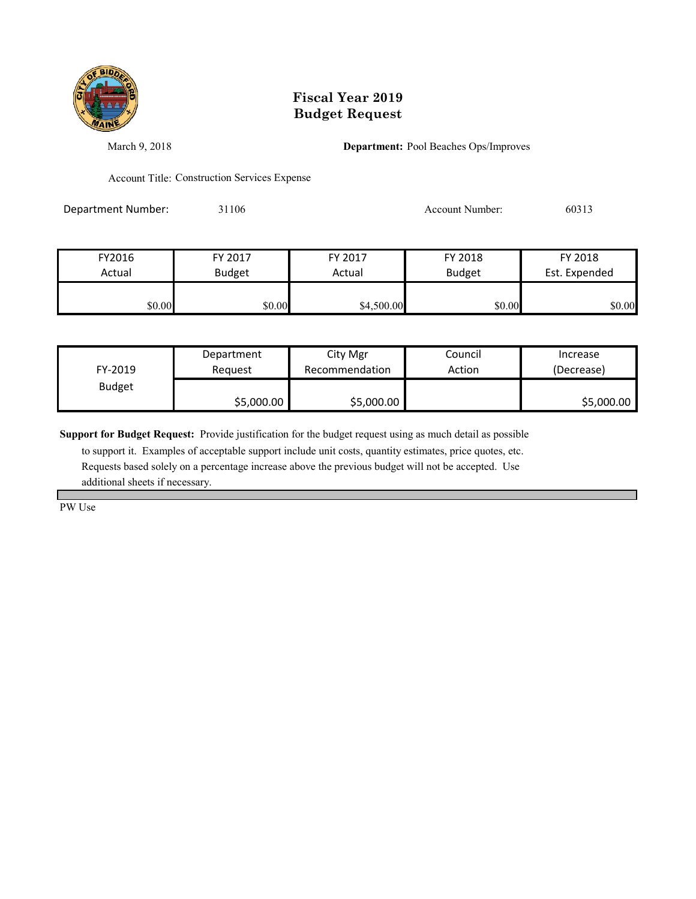

March 9, 2018 **Department:** Pool Beaches Ops/Improves

Account Title: Construction Services Expense

Department Number: 31106 31106 Account Number: 60313

| FY2016 | FY 2017       | FY 2017    | FY 2018       | FY 2018       |
|--------|---------------|------------|---------------|---------------|
| Actual | <b>Budget</b> | Actual     | <b>Budget</b> | Est. Expended |
| \$0.00 | \$0.00        | \$4,500.00 | \$0.00        | \$0.00        |

|               | Department | City Mgr       | Council | Increase   |
|---------------|------------|----------------|---------|------------|
| FY-2019       | Reauest    | Recommendation | Action  | (Decrease) |
| <b>Budget</b> |            |                |         |            |
|               | \$5,000.00 | \$5,000.00     |         | \$5,000.00 |

**Support for Budget Request:** Provide justification for the budget request using as much detail as possible

 to support it. Examples of acceptable support include unit costs, quantity estimates, price quotes, etc. Requests based solely on a percentage increase above the previous budget will not be accepted. Use additional sheets if necessary.

PW Use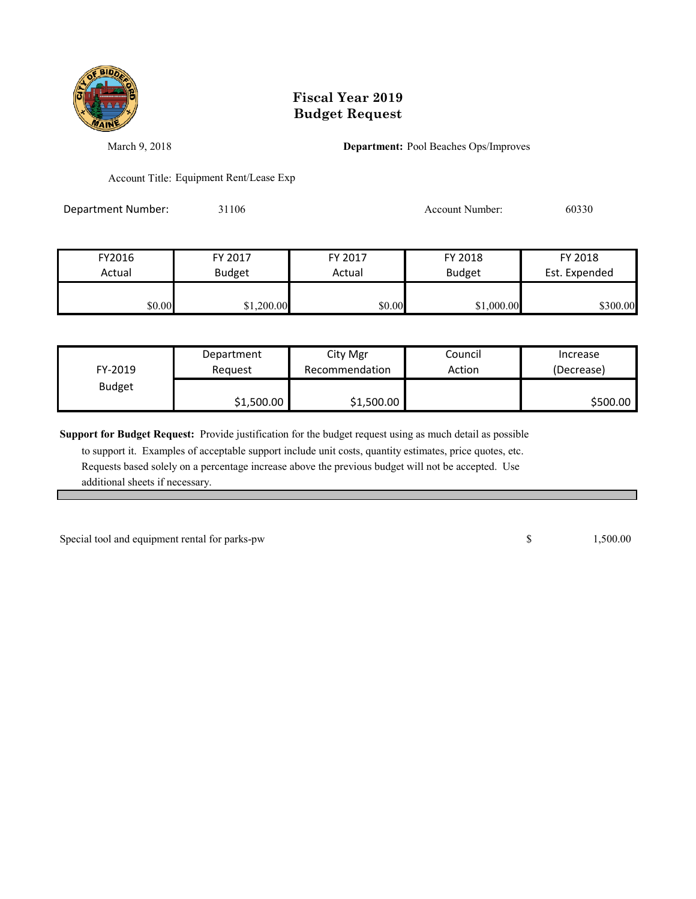

March 9, 2018 **Department:** Pool Beaches Ops/Improves

Account Title: Equipment Rent/Lease Exp

Department Number: 31106 31106 Account Number: 60330

| FY2016 | FY 2017       | FY 2017 | FY 2018       | FY 2018       |
|--------|---------------|---------|---------------|---------------|
| Actual | <b>Budget</b> | Actual  | <b>Budget</b> | Est. Expended |
|        |               |         |               |               |
| \$0.00 | \$1,200.00    | \$0.00  | \$1,000.00    | \$300.00      |

| FY-2019       | Department | City Mgr       | Council | Increase   |
|---------------|------------|----------------|---------|------------|
|               | Reauest    | Recommendation | Action  | (Decrease) |
| <b>Budget</b> | \$1,500.00 | \$1,500.00     |         | \$500.00   |

**Support for Budget Request:** Provide justification for the budget request using as much detail as possible

 to support it. Examples of acceptable support include unit costs, quantity estimates, price quotes, etc. Requests based solely on a percentage increase above the previous budget will not be accepted. Use additional sheets if necessary.

Special tool and equipment rental for parks-pw 1,500.00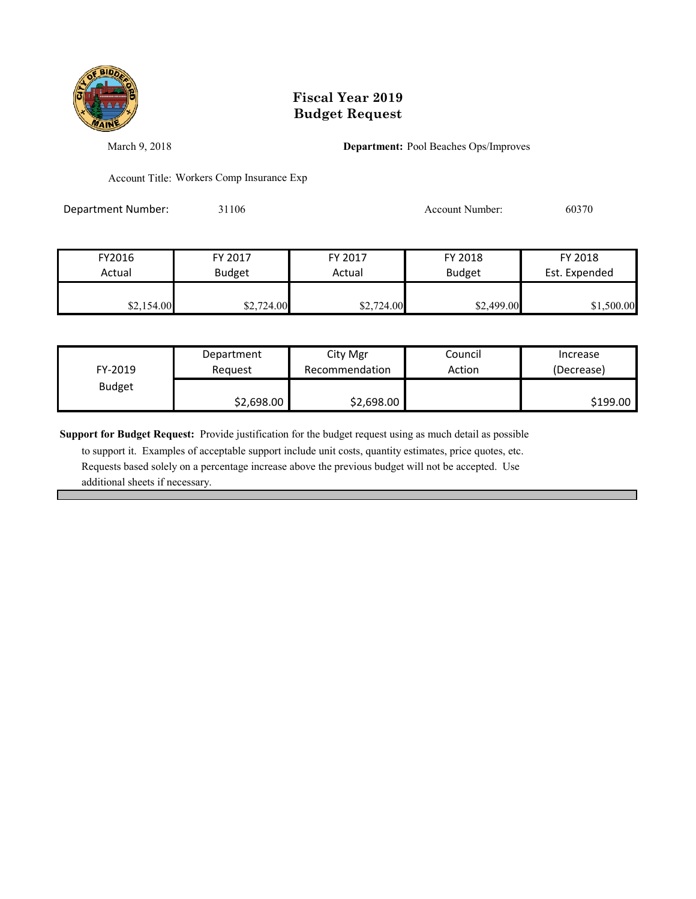

March 9, 2018 **Department:** Pool Beaches Ops/Improves

Account Title: Workers Comp Insurance Exp

Department Number: 31106 31106 Account Number: 60370

| FY2016     | FY 2017       | FY 2017    | FY 2018       | FY 2018       |
|------------|---------------|------------|---------------|---------------|
| Actual     | <b>Budget</b> | Actual     | <b>Budget</b> | Est. Expended |
| \$2,154.00 | \$2,724.00    | \$2,724.00 | \$2,499.00    | \$1,500.00    |

|               | Department | City Mgr       | Council | Increase   |
|---------------|------------|----------------|---------|------------|
| FY-2019       | Reauest    | Recommendation | Action  | (Decrease) |
| <b>Budget</b> |            |                |         |            |
|               | \$2,698.00 | \$2,698.00     |         | \$199.00   |

**Support for Budget Request:** Provide justification for the budget request using as much detail as possible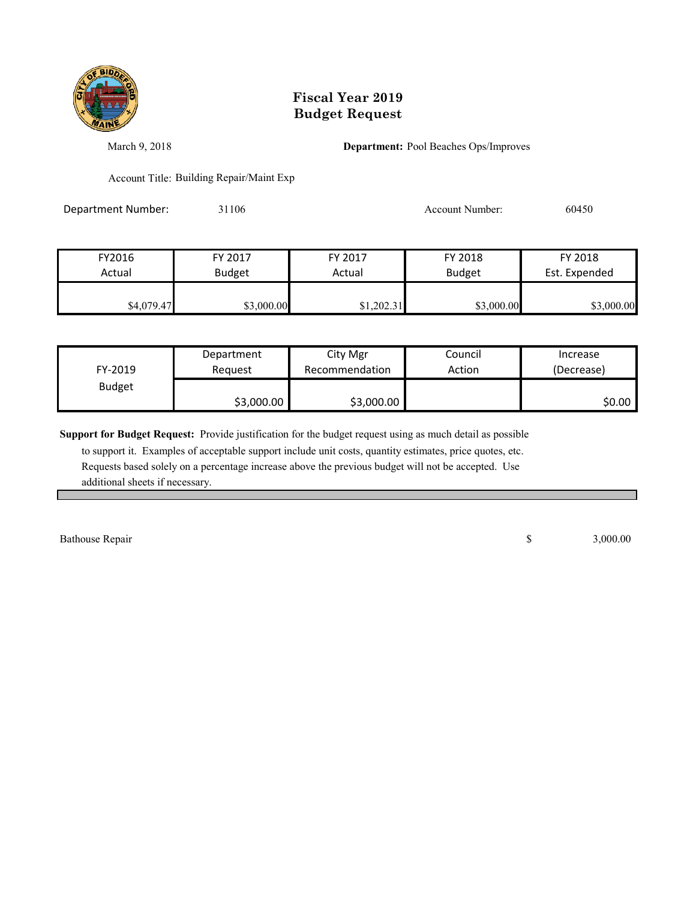

March 9, 2018 **Department:** Pool Beaches Ops/Improves

Account Title: Building Repair/Maint Exp

Department Number: 31106 31106 Account Number: 60450

| FY2016     | FY 2017       | FY 2017    | FY 2018       | FY 2018       |
|------------|---------------|------------|---------------|---------------|
| Actual     | <b>Budget</b> | Actual     | <b>Budget</b> | Est. Expended |
| \$4,079.47 | \$3,000.00    | \$1,202.31 | \$3,000.00    | \$3,000.00    |

|               | Department | City Mgr       | Council | Increase   |
|---------------|------------|----------------|---------|------------|
| FY-2019       | Reauest    | Recommendation | Action  | (Decrease) |
| <b>Budget</b> |            |                |         |            |
|               | \$3,000.00 | \$3,000.00     |         | \$0.00     |

**Support for Budget Request:** Provide justification for the budget request using as much detail as possible

 to support it. Examples of acceptable support include unit costs, quantity estimates, price quotes, etc. Requests based solely on a percentage increase above the previous budget will not be accepted. Use additional sheets if necessary.

Bathouse Repair 3,000.00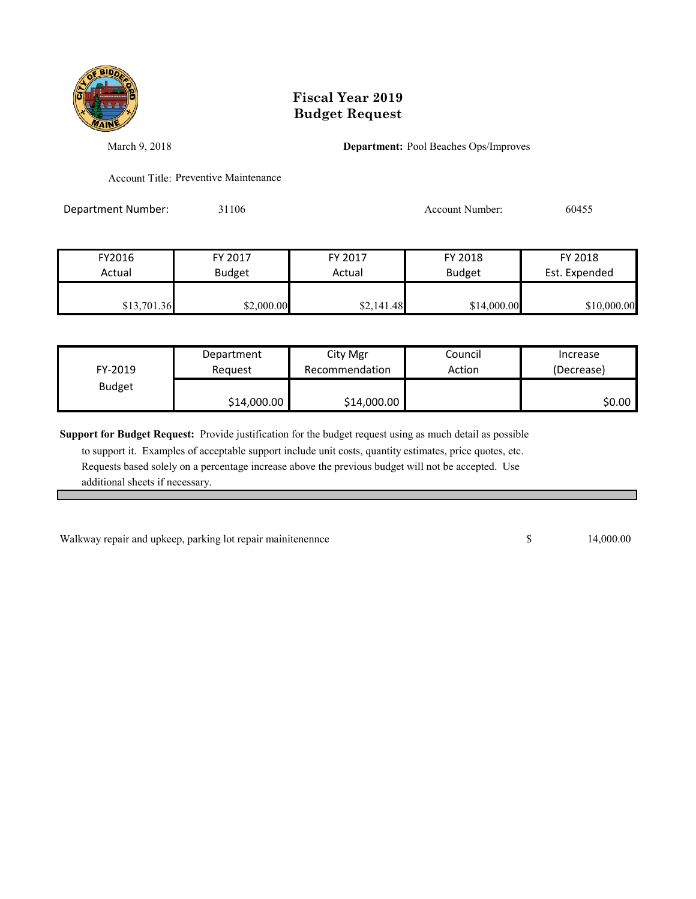

March 9, 2018 **Department:** Pool Beaches Ops/Improves

Account Title: Preventive Maintenance

Department Number: 31106 31106 Account Number: 60455

| FY2016      | FY 2017       | FY 2017    | FY 2018       | FY 2018<br>Est. Expended |
|-------------|---------------|------------|---------------|--------------------------|
| Actual      | <b>Budget</b> | Actual     | <b>Budget</b> |                          |
| \$13,701.36 | \$2,000.00    | \$2,141.48 | \$14,000.00   | \$10,000.00              |

| FY-2019       | Department  | City Mgr       | Council | Increase   |
|---------------|-------------|----------------|---------|------------|
|               | Reauest     | Recommendation | Action  | (Decrease) |
| <b>Budget</b> | \$14,000.00 | \$14,000.00    |         | \$0.00     |

**Support for Budget Request:** Provide justification for the budget request using as much detail as possible

 to support it. Examples of acceptable support include unit costs, quantity estimates, price quotes, etc. Requests based solely on a percentage increase above the previous budget will not be accepted. Use additional sheets if necessary.

Walkway repair and upkeep, parking lot repair mainitenennce 15 14,000.00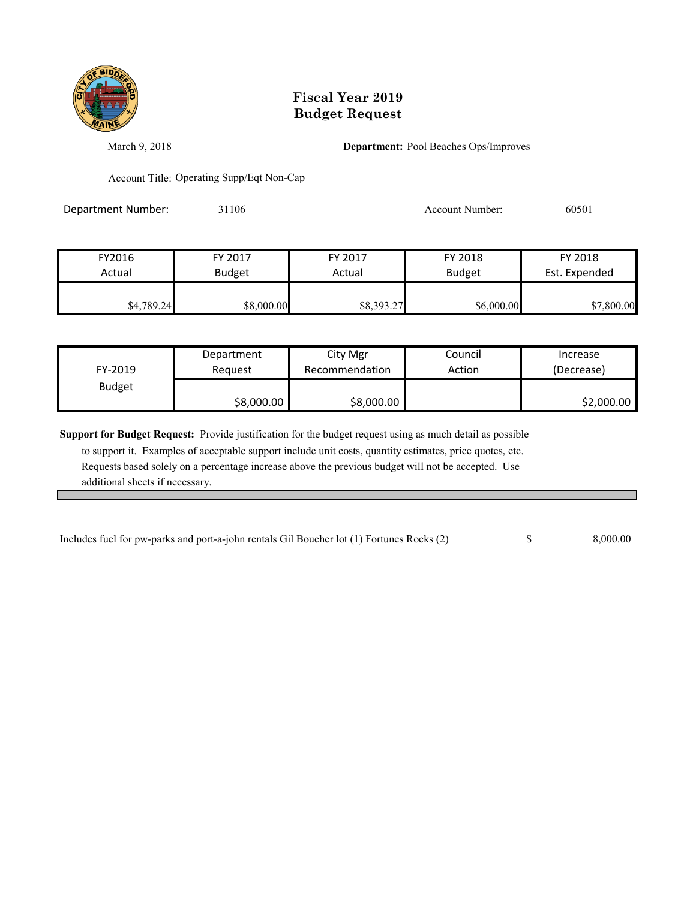

March 9, 2018 **Department:** Pool Beaches Ops/Improves

Account Title: Operating Supp/Eqt Non-Cap

Department Number: 31106 31106 Account Number: 60501

| FY2016     | FY 2017       | FY 2017    | FY 2018       | FY 2018       |
|------------|---------------|------------|---------------|---------------|
| Actual     | <b>Budget</b> | Actual     | <b>Budget</b> | Est. Expended |
|            |               |            |               |               |
| \$4,789.24 | \$8,000.00    | \$8,393.27 | \$6,000.00    | \$7,800.00    |

| FY-2019       | Department | City Mgr       | Council | Increase   |
|---------------|------------|----------------|---------|------------|
|               | Reauest    | Recommendation | Action  | (Decrease) |
| <b>Budget</b> | \$8,000.00 | \$8,000.00     |         | \$2,000.00 |

**Support for Budget Request:** Provide justification for the budget request using as much detail as possible

| Includes fuel for pw-parks and port-a-john rentals Gil Boucher lot (1) Fortunes Rocks (2)<br>$\blacksquare$ $\blacksquare$ $\blacksquare$ $\blacksquare$ $\blacksquare$ $\blacksquare$ $\blacksquare$ $\blacksquare$ $\blacksquare$ $\blacksquare$ $\blacksquare$ $\blacksquare$ $\blacksquare$ $\blacksquare$ $\blacksquare$ $\blacksquare$ $\blacksquare$ $\blacksquare$ $\blacksquare$ $\blacksquare$ $\blacksquare$ $\blacksquare$ $\blacksquare$ $\blacksquare$ $\blacksquare$ $\blacksquare$ $\blacksquare$ $\blacksquare$ $\blacksquare$ $\blacksquare$ $\blacksquare$ $\blacks$ |  | 8,000.00 |
|-----------------------------------------------------------------------------------------------------------------------------------------------------------------------------------------------------------------------------------------------------------------------------------------------------------------------------------------------------------------------------------------------------------------------------------------------------------------------------------------------------------------------------------------------------------------------------------------|--|----------|
|-----------------------------------------------------------------------------------------------------------------------------------------------------------------------------------------------------------------------------------------------------------------------------------------------------------------------------------------------------------------------------------------------------------------------------------------------------------------------------------------------------------------------------------------------------------------------------------------|--|----------|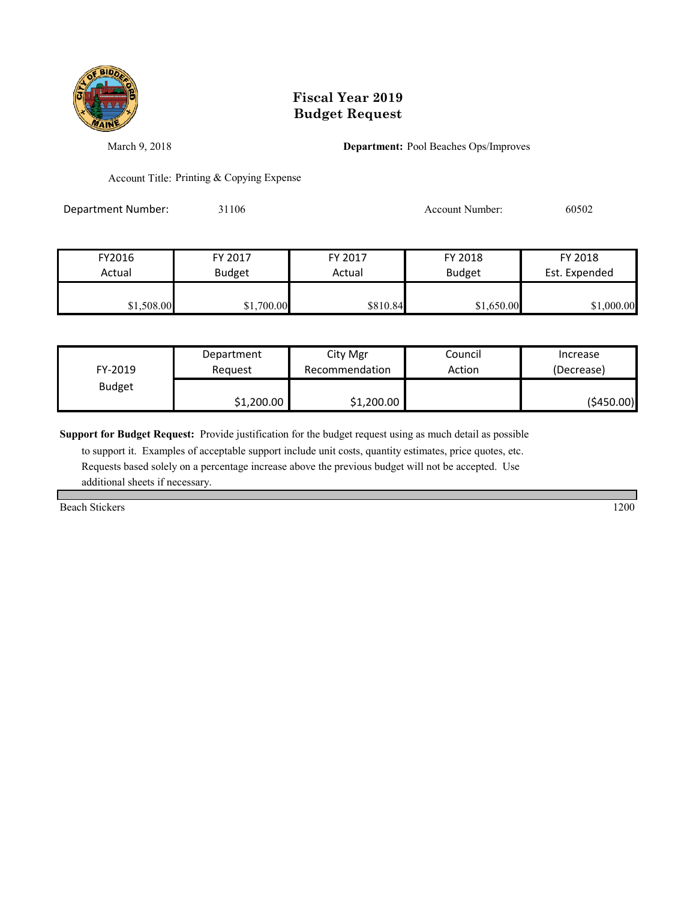

March 9, 2018 **Department:** Pool Beaches Ops/Improves

Account Title: Printing & Copying Expense

Department Number: 31106 31106 Account Number: 60502

| FY2016     | FY 2017       | FY 2017  | FY 2018       | FY 2018       |
|------------|---------------|----------|---------------|---------------|
| Actual     | <b>Budget</b> | Actual   | <b>Budget</b> | Est. Expended |
|            |               |          |               |               |
| \$1,508.00 | \$1,700.00    | \$810.84 | \$1,650.00    | \$1,000.00    |

|               | Department | City Mgr       | Council | Increase    |
|---------------|------------|----------------|---------|-------------|
| FY-2019       | Reauest    | Recommendation | Action  | (Decrease)  |
| <b>Budget</b> |            |                |         |             |
|               | \$1,200.00 | \$1,200.00     |         | ( \$450.00) |

**Support for Budget Request:** Provide justification for the budget request using as much detail as possible

 to support it. Examples of acceptable support include unit costs, quantity estimates, price quotes, etc. Requests based solely on a percentage increase above the previous budget will not be accepted. Use additional sheets if necessary.

Beach Stickers 1200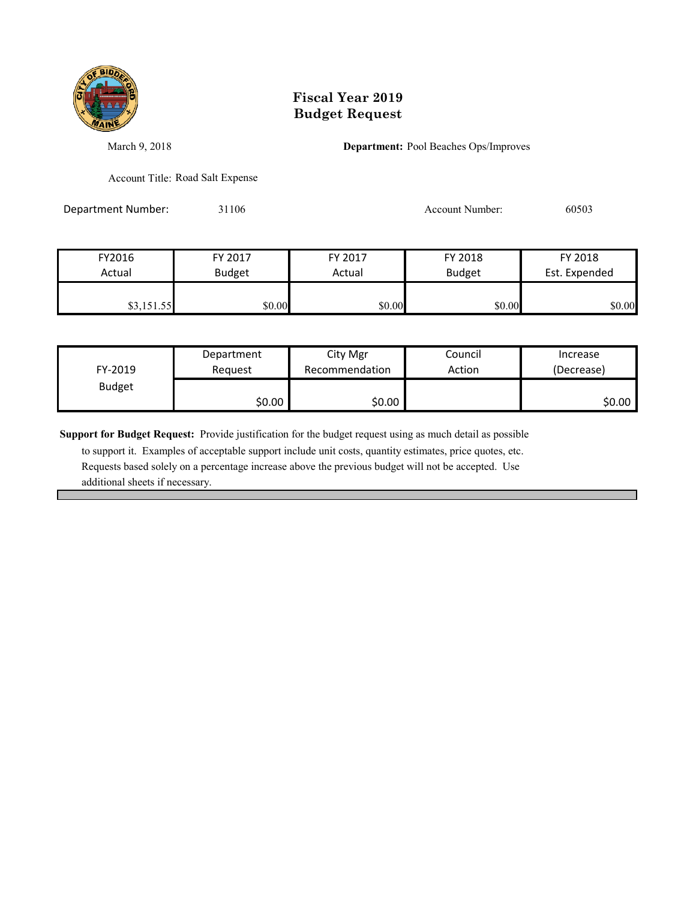

March 9, 2018 **Department:** Pool Beaches Ops/Improves

Account Title: Road Salt Expense

Department Number: 31106 31106 Account Number: 60503

| FY2016     | FY 2017       | FY 2017 | FY 2018       | FY 2018       |
|------------|---------------|---------|---------------|---------------|
| Actual     | <b>Budget</b> | Actual  | <b>Budget</b> | Est. Expended |
|            |               |         |               |               |
| \$3,151.55 | \$0.00        | \$0.00  | \$0.00        | \$0.00        |

|               | Department | City Mgr       | Council | Increase   |
|---------------|------------|----------------|---------|------------|
| FY-2019       | Reauest    | Recommendation | Action  | (Decrease) |
| <b>Budget</b> |            |                |         |            |
|               | \$0.00     | \$0.00         |         | \$0.00     |

**Support for Budget Request:** Provide justification for the budget request using as much detail as possible